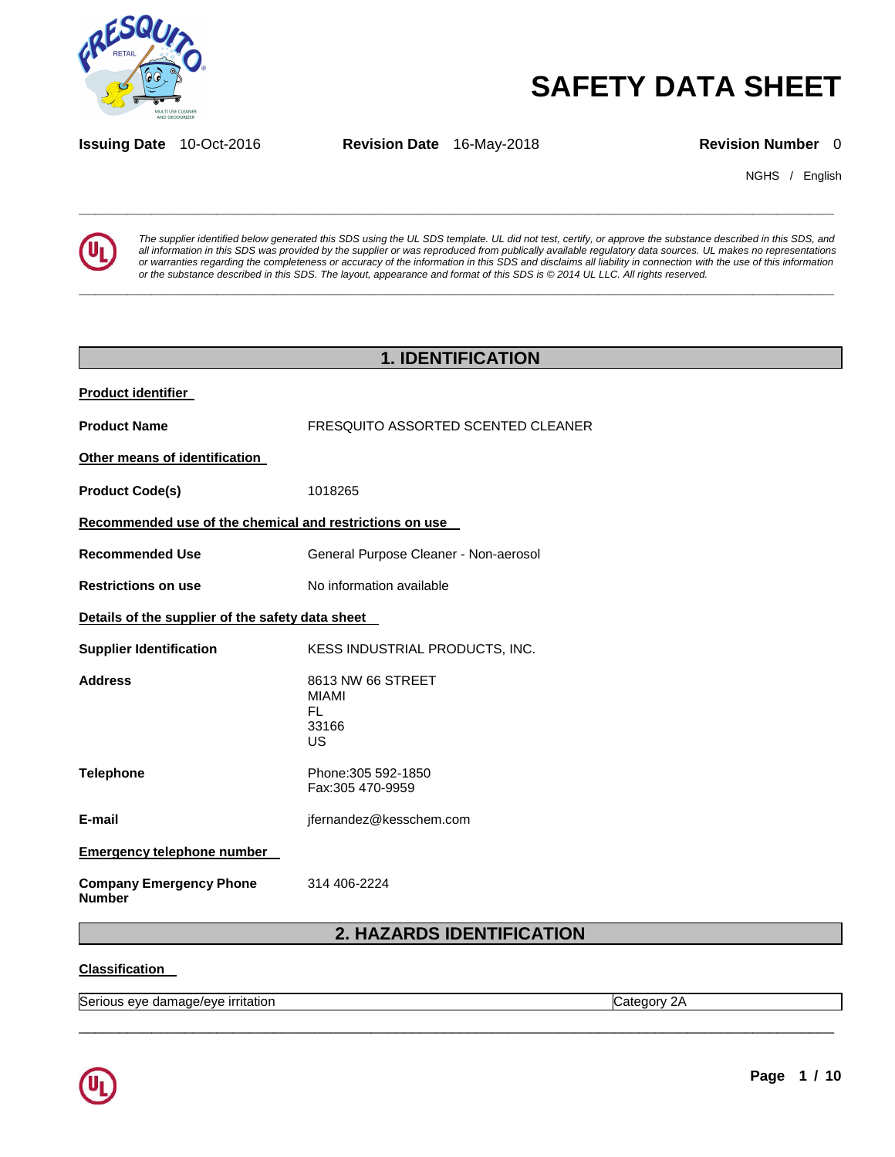

# **SAFETY DATA SHEET**

**Issuing Date** 10-Oct-2016 **Revision Date** 16-May-2018 **Revision Number** 0

**\_\_\_\_\_\_\_\_\_\_\_\_\_\_\_\_\_\_\_\_\_\_\_\_\_\_\_\_\_\_\_\_\_\_\_\_\_\_\_\_\_\_\_\_\_\_\_\_\_\_\_\_\_\_\_\_\_\_\_\_\_\_\_\_\_\_\_\_\_\_\_\_\_\_\_\_\_\_\_\_\_\_\_\_\_\_\_\_\_\_\_\_\_** 

**\_\_\_\_\_\_\_\_\_\_\_\_\_\_\_\_\_\_\_\_\_\_\_\_\_\_\_\_\_\_\_\_\_\_\_\_\_\_\_\_\_\_\_\_\_\_\_\_\_\_\_\_\_\_\_\_\_\_\_\_\_\_\_\_\_\_\_\_\_\_\_\_\_\_\_\_\_\_\_\_\_\_\_\_\_\_\_\_\_\_\_\_\_** 

NGHS / English



*The supplier identified below generated this SDS using the UL SDS template. UL did not test, certify, or approve the substance described in this SDS, and all information in this SDS was provided by the supplier or was reproduced from publically available regulatory data sources. UL makes no representations or warranties regarding the completeness or accuracy of the information in this SDS and disclaims all liability in connection with the use of this information or the substance described in this SDS. The layout, appearance and format of this SDS is © 2014 UL LLC. All rights reserved.* 

| <b>1. IDENTIFICATION</b>                                |                                                               |  |  |
|---------------------------------------------------------|---------------------------------------------------------------|--|--|
| <b>Product identifier</b>                               |                                                               |  |  |
| <b>Product Name</b>                                     | FRESQUITO ASSORTED SCENTED CLEANER                            |  |  |
| Other means of identification                           |                                                               |  |  |
| <b>Product Code(s)</b>                                  | 1018265                                                       |  |  |
| Recommended use of the chemical and restrictions on use |                                                               |  |  |
| <b>Recommended Use</b>                                  | General Purpose Cleaner - Non-aerosol                         |  |  |
| <b>Restrictions on use</b>                              | No information available                                      |  |  |
| Details of the supplier of the safety data sheet        |                                                               |  |  |
| <b>Supplier Identification</b>                          | KESS INDUSTRIAL PRODUCTS, INC.                                |  |  |
| <b>Address</b>                                          | 8613 NW 66 STREET<br><b>MIAMI</b><br><b>FL</b><br>33166<br>US |  |  |
| <b>Telephone</b>                                        | Phone: 305 592-1850<br>Fax:305 470-9959                       |  |  |
| E-mail                                                  | jfernandez@kesschem.com                                       |  |  |
| <b>Emergency telephone number</b>                       |                                                               |  |  |
| <b>Company Emergency Phone</b><br><b>Number</b>         | 314 406-2224                                                  |  |  |
| 2. HAZARDS IDENTIFICATION                               |                                                               |  |  |

#### **Classification**

\_\_\_\_\_\_\_\_\_\_\_\_\_\_\_\_\_\_\_\_\_\_\_\_\_\_\_\_\_\_\_\_\_\_\_\_\_\_\_\_\_\_\_\_\_\_\_\_\_\_\_\_\_\_\_\_\_\_\_\_\_\_\_\_\_\_\_\_\_\_\_\_\_\_\_\_\_\_\_\_\_\_\_\_\_\_\_\_\_\_\_\_\_ Serious eye damage/eye irritation Category 2A

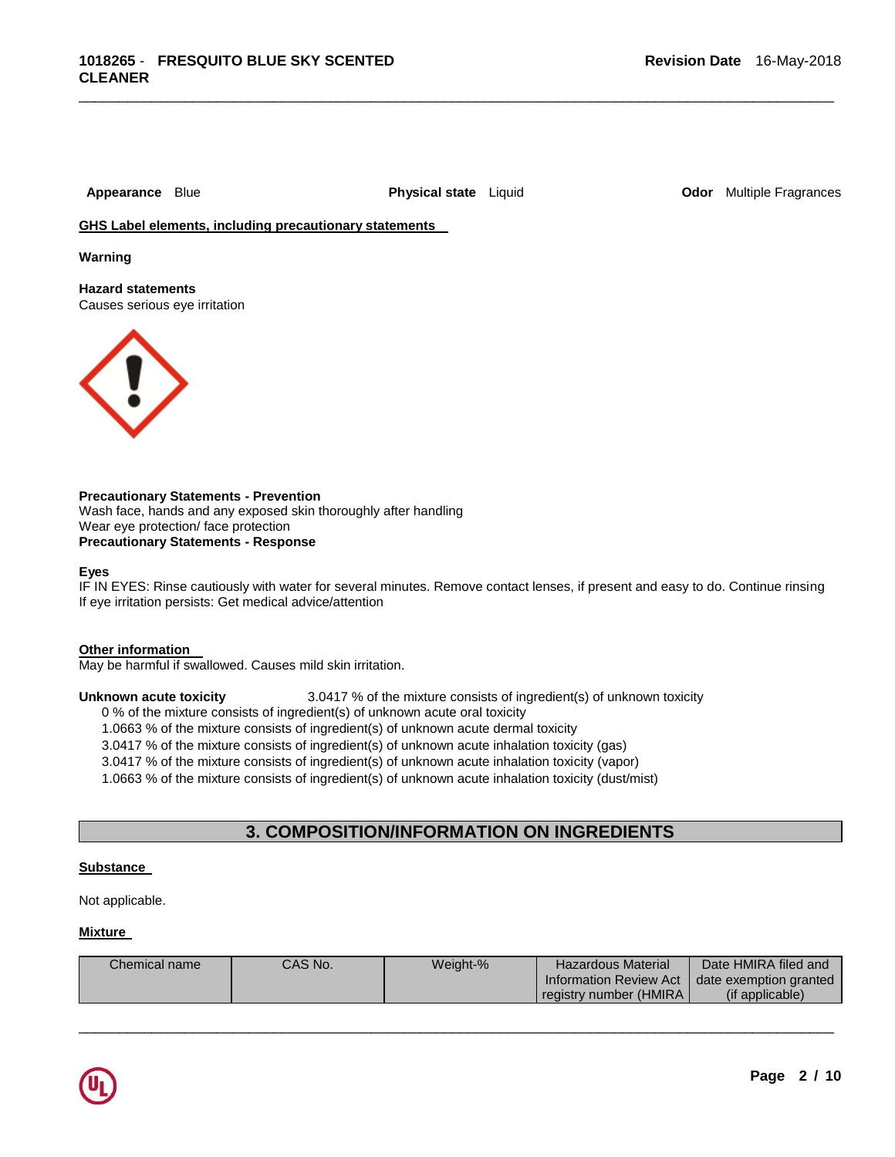\_\_\_\_\_\_\_\_\_\_\_\_\_\_\_\_\_\_\_\_\_\_\_\_\_\_\_\_\_\_\_\_\_\_\_\_\_\_\_\_\_\_\_\_\_\_\_\_\_\_\_\_\_\_\_\_\_\_\_\_\_\_\_\_\_\_\_\_\_\_\_\_\_\_\_\_\_\_\_\_\_\_\_\_\_\_\_\_\_\_\_\_\_

**Appearance** Blue **Physical state** Liquid **Odor** Multiple Fragrances

**GHS Label elements, including precautionary statements** 

**Warning** 

**Hazard statements**  Causes serious eye irritation



**Precautionary Statements - Prevention** Wash face, hands and any exposed skin thoroughly after handling Wear eye protection/ face protection **Precautionary Statements - Response**

#### **Eyes**

IF IN EYES: Rinse cautiously with water for several minutes. Remove contact lenses, if present and easy to do. Continue rinsing If eye irritation persists: Get medical advice/attention

#### **Other information**

May be harmful if swallowed. Causes mild skin irritation.

#### **Unknown acute toxicity** 3.0417 % of the mixture consists of ingredient(s) of unknown toxicity

0 % of the mixture consists of ingredient(s) of unknown acute oral toxicity

1.0663 % of the mixture consists of ingredient(s) of unknown acute dermal toxicity

3.0417 % of the mixture consists of ingredient(s) of unknown acute inhalation toxicity (gas)

3.0417 % of the mixture consists of ingredient(s) of unknown acute inhalation toxicity (vapor)

1.0663 % of the mixture consists of ingredient(s) of unknown acute inhalation toxicity (dust/mist)

#### **3. COMPOSITION/INFORMATION ON INGREDIENTS**

#### **Substance**

Not applicable.

#### **Mixture**

| Chemical name | CAS No. | Weight-% | <b>Hazardous Material</b> | Date HMIRA filed and   |
|---------------|---------|----------|---------------------------|------------------------|
|               |         |          | Information Review Act    | date exemption granted |
|               |         |          | registry number (HMIRA).  | (if applicable)        |

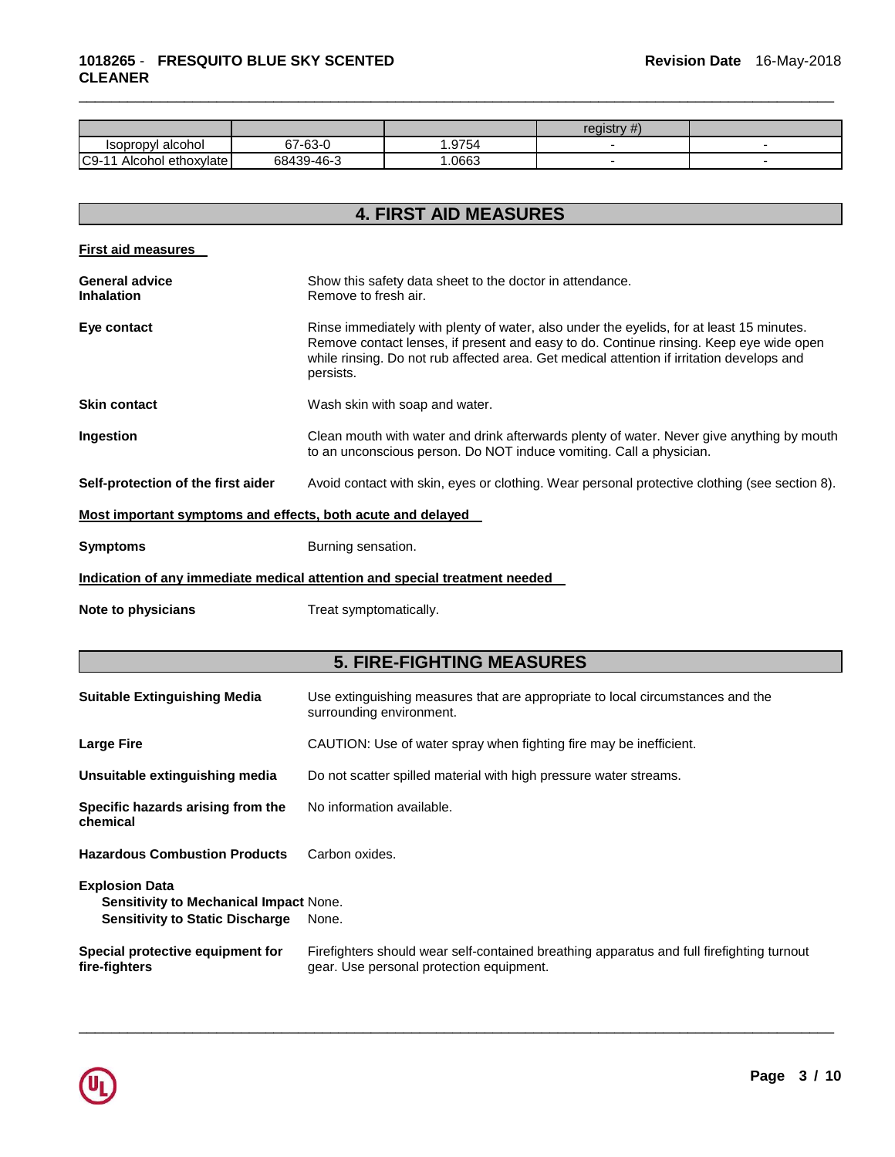|                              |                        |       | registry<br>$\pi$ . |  |
|------------------------------|------------------------|-------|---------------------|--|
| Isopropyl alcohol            | $7 - 63 - 0$<br>$\sim$ | .9754 |                     |  |
| $C9-1$<br>Alcohol ethoxylate | 68439-46-3             | .0663 |                     |  |

\_\_\_\_\_\_\_\_\_\_\_\_\_\_\_\_\_\_\_\_\_\_\_\_\_\_\_\_\_\_\_\_\_\_\_\_\_\_\_\_\_\_\_\_\_\_\_\_\_\_\_\_\_\_\_\_\_\_\_\_\_\_\_\_\_\_\_\_\_\_\_\_\_\_\_\_\_\_\_\_\_\_\_\_\_\_\_\_\_\_\_\_\_

## **4. FIRST AID MEASURES**

| <b>First aid measures</b>                                   |                                                                                                                                                                                                                                                                                              |  |  |
|-------------------------------------------------------------|----------------------------------------------------------------------------------------------------------------------------------------------------------------------------------------------------------------------------------------------------------------------------------------------|--|--|
| <b>General advice</b><br><b>Inhalation</b>                  | Show this safety data sheet to the doctor in attendance.<br>Remove to fresh air.                                                                                                                                                                                                             |  |  |
| Eye contact                                                 | Rinse immediately with plenty of water, also under the eyelids, for at least 15 minutes.<br>Remove contact lenses, if present and easy to do. Continue rinsing. Keep eye wide open<br>while rinsing. Do not rub affected area. Get medical attention if irritation develops and<br>persists. |  |  |
| <b>Skin contact</b>                                         | Wash skin with soap and water.                                                                                                                                                                                                                                                               |  |  |
| Ingestion                                                   | Clean mouth with water and drink afterwards plenty of water. Never give anything by mouth<br>to an unconscious person. Do NOT induce vomiting. Call a physician.                                                                                                                             |  |  |
| Self-protection of the first aider                          | Avoid contact with skin, eyes or clothing. Wear personal protective clothing (see section 8).                                                                                                                                                                                                |  |  |
| Most important symptoms and effects, both acute and delayed |                                                                                                                                                                                                                                                                                              |  |  |
| <b>Symptoms</b>                                             | Burning sensation.                                                                                                                                                                                                                                                                           |  |  |
|                                                             | Indication of any immediate medical attention and special treatment needed                                                                                                                                                                                                                   |  |  |
| Note to physicians                                          | Treat symptomatically.                                                                                                                                                                                                                                                                       |  |  |
|                                                             | <b>5. FIRE-FIGHTING MEASURES</b>                                                                                                                                                                                                                                                             |  |  |
| <b>Suitable Extinguishing Media</b>                         | Use extinguishing measures that are appropriate to local circumstances and the<br>surrounding environment.                                                                                                                                                                                   |  |  |
| <b>Large Fire</b>                                           | CAUTION: Use of water spray when fighting fire may be inefficient.                                                                                                                                                                                                                           |  |  |

| Unsuitable extinguishing media | Do not scatter spilled material with high pressure water streams. |
|--------------------------------|-------------------------------------------------------------------|
|--------------------------------|-------------------------------------------------------------------|

| Specific hazards arising from the<br>chemical                                                                    | No information available.                                                                                                             |
|------------------------------------------------------------------------------------------------------------------|---------------------------------------------------------------------------------------------------------------------------------------|
| <b>Hazardous Combustion Products</b>                                                                             | Carbon oxides.                                                                                                                        |
| <b>Explosion Data</b><br><b>Sensitivity to Mechanical Impact None.</b><br><b>Sensitivity to Static Discharge</b> | None.                                                                                                                                 |
| Special protective equipment for<br>fire-fighters                                                                | Firefighters should wear self-contained breathing apparatus and full firefighting turnout<br>gear. Use personal protection equipment. |

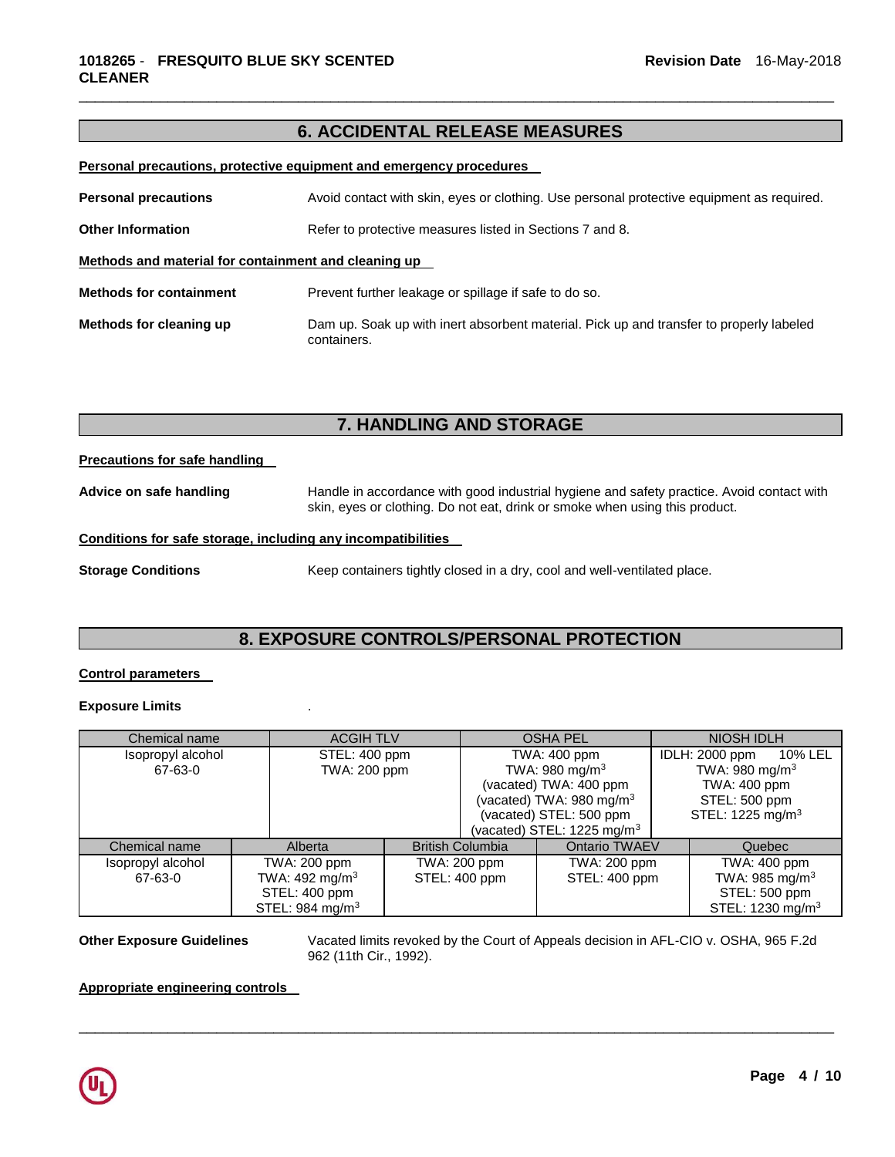#### **6. ACCIDENTAL RELEASE MEASURES**

\_\_\_\_\_\_\_\_\_\_\_\_\_\_\_\_\_\_\_\_\_\_\_\_\_\_\_\_\_\_\_\_\_\_\_\_\_\_\_\_\_\_\_\_\_\_\_\_\_\_\_\_\_\_\_\_\_\_\_\_\_\_\_\_\_\_\_\_\_\_\_\_\_\_\_\_\_\_\_\_\_\_\_\_\_\_\_\_\_\_\_\_\_

**Personal precautions, protective equipment and emergency procedures** 

| <b>Personal precautions</b>                                                          | Avoid contact with skin, eyes or clothing. Use personal protective equipment as required.              |  |
|--------------------------------------------------------------------------------------|--------------------------------------------------------------------------------------------------------|--|
| <b>Other Information</b><br>Refer to protective measures listed in Sections 7 and 8. |                                                                                                        |  |
| Methods and material for containment and cleaning up                                 |                                                                                                        |  |
| <b>Methods for containment</b>                                                       | Prevent further leakage or spillage if safe to do so.                                                  |  |
| Methods for cleaning up                                                              | Dam up. Soak up with inert absorbent material. Pick up and transfer to properly labeled<br>containers. |  |

#### **7. HANDLING AND STORAGE**

**Precautions for safe handling** 

**Advice on safe handling** Handle in accordance with good industrial hygiene and safety practice. Avoid contact with skin, eyes or clothing. Do not eat, drink or smoke when using this product.

#### **Conditions for safe storage, including any incompatibilities**

**Storage Conditions Keep containers tightly closed in a dry, cool and well-ventilated place.** 

### **8. EXPOSURE CONTROLS/PERSONAL PROTECTION**

#### **Control parameters**

#### **Exposure Limits** .

| Chemical name     |  | <b>ACGIH TLV</b>            |              | <b>OSHA PEL</b>            |                                       | <b>NIOSH IDLH</b>          |                              |         |
|-------------------|--|-----------------------------|--------------|----------------------------|---------------------------------------|----------------------------|------------------------------|---------|
| Isopropyl alcohol |  | STEL: 400 ppm               |              | TWA: 400 ppm               |                                       |                            | IDLH: 2000 ppm               | 10% LEL |
| 67-63-0           |  | TWA: 200 ppm                |              | TWA: 980 mg/m <sup>3</sup> |                                       | TWA: 980 mg/m <sup>3</sup> |                              |         |
|                   |  |                             |              | (vacated) TWA: 400 ppm     |                                       |                            | TWA: 400 ppm                 |         |
|                   |  |                             |              |                            | (vacated) TWA: 980 mg/m <sup>3</sup>  |                            | STEL: 500 ppm                |         |
|                   |  |                             |              | (vacated) STEL: 500 ppm    |                                       |                            | STEL: 1225 mg/m <sup>3</sup> |         |
|                   |  |                             |              |                            | (vacated) STEL: $1225 \text{ mg/m}^3$ |                            |                              |         |
| Chemical name     |  | Alberta                     |              | <b>British Columbia</b>    | <b>Ontario TWAEV</b>                  |                            | Quebec                       |         |
| Isopropyl alcohol |  | TWA: 200 ppm                | TWA: 200 ppm |                            | TWA: 200 ppm                          |                            | TWA: 400 ppm                 |         |
| 67-63-0           |  | TWA: 492 mg/m <sup>3</sup>  |              | STEL: 400 ppm              | STEL: 400 ppm                         |                            | TWA: 985 mg/m <sup>3</sup>   |         |
|                   |  | STEL: 400 ppm               |              |                            |                                       |                            | STEL: 500 ppm                |         |
|                   |  | STEL: 984 mg/m <sup>3</sup> |              |                            |                                       |                            | STEL: 1230 mg/m <sup>3</sup> |         |

\_\_\_\_\_\_\_\_\_\_\_\_\_\_\_\_\_\_\_\_\_\_\_\_\_\_\_\_\_\_\_\_\_\_\_\_\_\_\_\_\_\_\_\_\_\_\_\_\_\_\_\_\_\_\_\_\_\_\_\_\_\_\_\_\_\_\_\_\_\_\_\_\_\_\_\_\_\_\_\_\_\_\_\_\_\_\_\_\_\_\_\_\_

**Other Exposure Guidelines** Vacated limits revoked by the Court of Appeals decision in AFL-CIO v. OSHA, 965 F.2d 962 (11th Cir., 1992).

#### **Appropriate engineering controls**

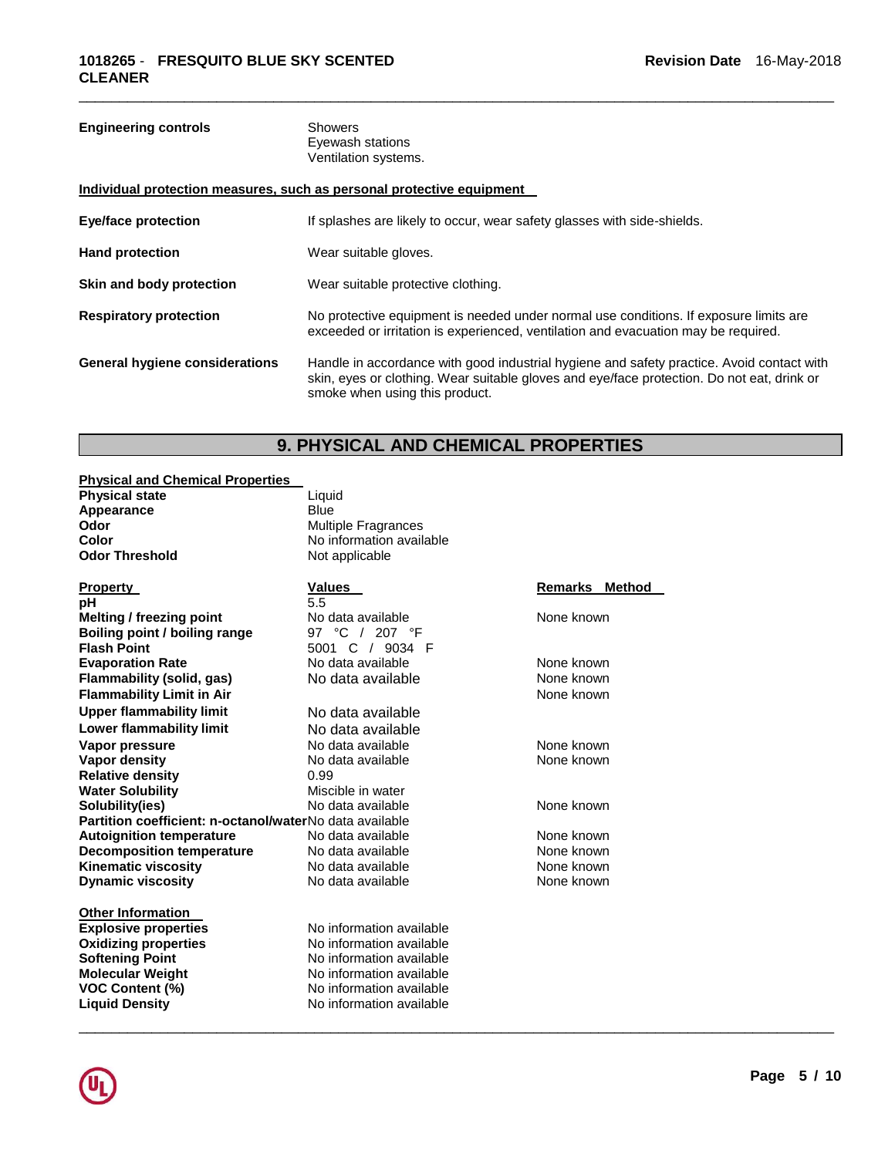| <b>Engineering controls</b>           | <b>Showers</b><br>Eyewash stations<br>Ventilation systems.                                                                                                                                                                |
|---------------------------------------|---------------------------------------------------------------------------------------------------------------------------------------------------------------------------------------------------------------------------|
|                                       | Individual protection measures, such as personal protective equipment                                                                                                                                                     |
| <b>Eye/face protection</b>            | If splashes are likely to occur, wear safety glasses with side-shields.                                                                                                                                                   |
| <b>Hand protection</b>                | Wear suitable gloves.                                                                                                                                                                                                     |
| Skin and body protection              | Wear suitable protective clothing.                                                                                                                                                                                        |
| <b>Respiratory protection</b>         | No protective equipment is needed under normal use conditions. If exposure limits are<br>exceeded or irritation is experienced, ventilation and evacuation may be required.                                               |
| <b>General hygiene considerations</b> | Handle in accordance with good industrial hygiene and safety practice. Avoid contact with<br>skin, eyes or clothing. Wear suitable gloves and eye/face protection. Do not eat, drink or<br>smoke when using this product. |

\_\_\_\_\_\_\_\_\_\_\_\_\_\_\_\_\_\_\_\_\_\_\_\_\_\_\_\_\_\_\_\_\_\_\_\_\_\_\_\_\_\_\_\_\_\_\_\_\_\_\_\_\_\_\_\_\_\_\_\_\_\_\_\_\_\_\_\_\_\_\_\_\_\_\_\_\_\_\_\_\_\_\_\_\_\_\_\_\_\_\_\_\_

### **9. PHYSICAL AND CHEMICAL PROPERTIES**

\_\_\_\_\_\_\_\_\_\_\_\_\_\_\_\_\_\_\_\_\_\_\_\_\_\_\_\_\_\_\_\_\_\_\_\_\_\_\_\_\_\_\_\_\_\_\_\_\_\_\_\_\_\_\_\_\_\_\_\_\_\_\_\_\_\_\_\_\_\_\_\_\_\_\_\_\_\_\_\_\_\_\_\_\_\_\_\_\_\_\_\_\_

#### **Physical and Chemical Properties**

| <b>Physical state</b> |  |
|-----------------------|--|
| Appearance            |  |
| Odor                  |  |
| Color                 |  |
| <b>Odor Threshold</b> |  |

Liquid **Blue Odor** Multiple Fragrances No information available Not applicable

| Property                                                | Values                   | Remarks<br>Method |
|---------------------------------------------------------|--------------------------|-------------------|
| рH                                                      | 5.5                      |                   |
| <b>Melting / freezing point</b>                         | No data available        | None known        |
| Boiling point / boiling range                           | 97 °C / 207 °F           |                   |
| <b>Flash Point</b>                                      | 5001<br>C / 9034 F       |                   |
| <b>Evaporation Rate</b>                                 | No data available        | None known        |
| Flammability (solid, gas)                               | No data available        | None known        |
| <b>Flammability Limit in Air</b>                        |                          | None known        |
| <b>Upper flammability limit</b>                         | No data available        |                   |
| <b>Lower flammability limit</b>                         | No data available        |                   |
| Vapor pressure                                          | No data available        | None known        |
| Vapor density                                           | No data available        | None known        |
| <b>Relative density</b>                                 | 0.99                     |                   |
| <b>Water Solubility</b>                                 | Miscible in water        |                   |
| Solubility(ies)                                         | No data available        | None known        |
| Partition coefficient: n-octanol/waterNo data available |                          |                   |
| <b>Autoignition temperature</b>                         | No data available        | None known        |
| <b>Decomposition temperature</b>                        | No data available        | None known        |
| <b>Kinematic viscosity</b>                              | No data available        | None known        |
| <b>Dynamic viscosity</b>                                | No data available        | None known        |
| <b>Other Information</b>                                |                          |                   |
| <b>Explosive properties</b>                             | No information available |                   |
| <b>Oxidizing properties</b>                             | No information available |                   |
| <b>Softening Point</b>                                  | No information available |                   |
| <b>Molecular Weight</b>                                 | No information available |                   |
| <b>VOC Content (%)</b>                                  | No information available |                   |
| <b>Liquid Density</b>                                   | No information available |                   |

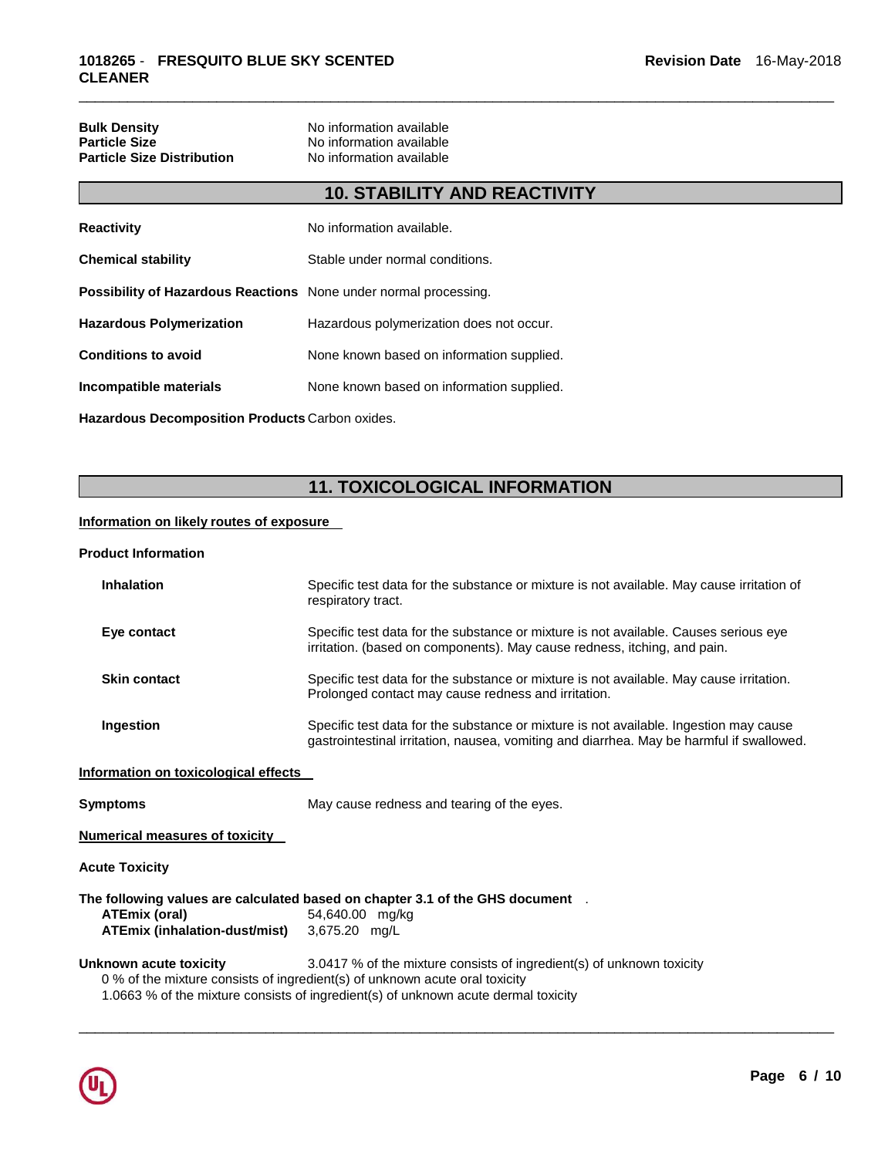| <b>Bulk Density</b>               | No information available |
|-----------------------------------|--------------------------|
| <b>Particle Size</b>              | No information available |
| <b>Particle Size Distribution</b> | No information available |

### **10. STABILITY AND REACTIVITY**

\_\_\_\_\_\_\_\_\_\_\_\_\_\_\_\_\_\_\_\_\_\_\_\_\_\_\_\_\_\_\_\_\_\_\_\_\_\_\_\_\_\_\_\_\_\_\_\_\_\_\_\_\_\_\_\_\_\_\_\_\_\_\_\_\_\_\_\_\_\_\_\_\_\_\_\_\_\_\_\_\_\_\_\_\_\_\_\_\_\_\_\_\_

| <b>Reactivity</b>                                                       | No information available.                 |
|-------------------------------------------------------------------------|-------------------------------------------|
| <b>Chemical stability</b>                                               | Stable under normal conditions.           |
| <b>Possibility of Hazardous Reactions</b> None under normal processing. |                                           |
| <b>Hazardous Polymerization</b>                                         | Hazardous polymerization does not occur.  |
| <b>Conditions to avoid</b>                                              | None known based on information supplied. |
| Incompatible materials                                                  | None known based on information supplied. |
|                                                                         |                                           |

**Hazardous Decomposition Products** Carbon oxides.

## **11. TOXICOLOGICAL INFORMATION**

#### **Information on likely routes of exposure**

#### **Product Information**

| <b>Inhalation</b>                                     | Specific test data for the substance or mixture is not available. May cause irritation of<br>respiratory tract.                                                                                                                            |
|-------------------------------------------------------|--------------------------------------------------------------------------------------------------------------------------------------------------------------------------------------------------------------------------------------------|
| Eye contact                                           | Specific test data for the substance or mixture is not available. Causes serious eye<br>irritation. (based on components). May cause redness, itching, and pain.                                                                           |
| <b>Skin contact</b>                                   | Specific test data for the substance or mixture is not available. May cause irritation.<br>Prolonged contact may cause redness and irritation.                                                                                             |
| Ingestion                                             | Specific test data for the substance or mixture is not available. Ingestion may cause<br>gastrointestinal irritation, nausea, vomiting and diarrhea. May be harmful if swallowed.                                                          |
| Information on toxicological effects                  |                                                                                                                                                                                                                                            |
| <b>Symptoms</b>                                       | May cause redness and tearing of the eyes.                                                                                                                                                                                                 |
| <b>Numerical measures of toxicity</b>                 |                                                                                                                                                                                                                                            |
| <b>Acute Toxicity</b>                                 |                                                                                                                                                                                                                                            |
| <b>ATEmix (oral)</b><br>ATEmix (inhalation-dust/mist) | The following values are calculated based on chapter 3.1 of the GHS document .<br>54,640.00 mg/kg<br>3,675.20 mg/L                                                                                                                         |
| <b>Unknown acute toxicity</b>                         | 3.0417 % of the mixture consists of ingredient(s) of unknown toxicity<br>0 % of the mixture consists of ingredient(s) of unknown acute oral toxicity<br>1.0663 % of the mixture consists of ingredient(s) of unknown acute dermal toxicity |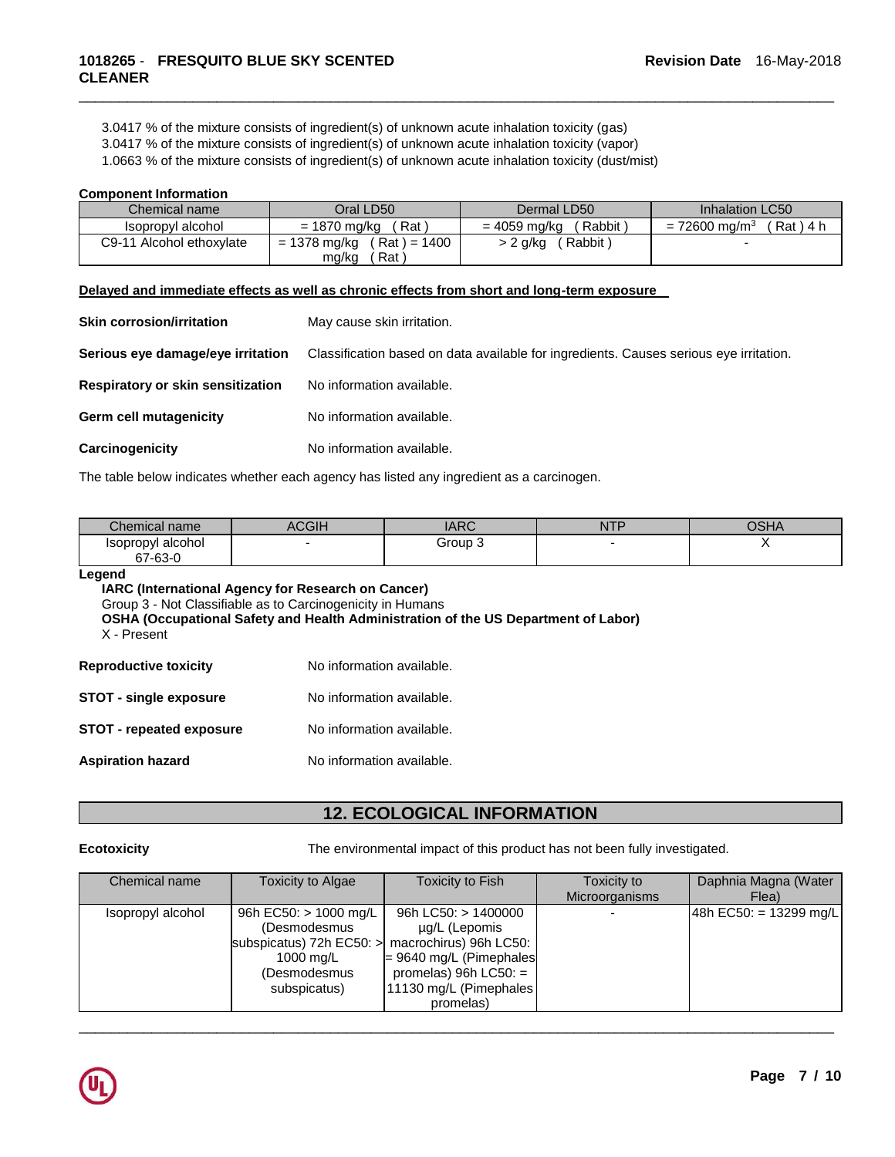3.0417 % of the mixture consists of ingredient(s) of unknown acute inhalation toxicity (gas)

3.0417 % of the mixture consists of ingredient(s) of unknown acute inhalation toxicity (vapor)

1.0663 % of the mixture consists of ingredient(s) of unknown acute inhalation toxicity (dust/mist)

#### **Component Information**

| Chemical name            | Oral LD50                                   | Dermal LD50                               | Inhalation LC50                          |
|--------------------------|---------------------------------------------|-------------------------------------------|------------------------------------------|
| Isopropyl alcohol        | = 1870 ma/ka<br>′ Rat                       | $'$ Rabbit $\overline{)}$<br>= 4059 ma/ka | Rat ) 4 h<br>$= 72600$ ma/m <sup>3</sup> |
| C9-11 Alcohol ethoxylate | $= 1378$ mg/kg (Rat) = 1400<br>Rat<br>mg/kg | Rabbit<br>> 2 g/kg                        | -                                        |

\_\_\_\_\_\_\_\_\_\_\_\_\_\_\_\_\_\_\_\_\_\_\_\_\_\_\_\_\_\_\_\_\_\_\_\_\_\_\_\_\_\_\_\_\_\_\_\_\_\_\_\_\_\_\_\_\_\_\_\_\_\_\_\_\_\_\_\_\_\_\_\_\_\_\_\_\_\_\_\_\_\_\_\_\_\_\_\_\_\_\_\_\_

#### **Delayed and immediate effects as well as chronic effects from short and long-term exposure**

| <b>Skin corrosion/irritation</b>  | May cause skin irritation.                                                             |
|-----------------------------------|----------------------------------------------------------------------------------------|
| Serious eye damage/eye irritation | Classification based on data available for ingredients. Causes serious eye irritation. |
| Respiratory or skin sensitization | No information available.                                                              |
| <b>Germ cell mutagenicity</b>     | No information available.                                                              |
| Carcinogenicity                   | No information available.                                                              |

The table below indicates whether each agency has listed any ingredient as a carcinogen.

| Chemical name     | $\sim$ | IADC<br><b>IANU</b> | <b>NTP</b> | ∩פ⊔<br>יז וטע |
|-------------------|--------|---------------------|------------|---------------|
| Isopropyl alcohol |        | Group 3             |            |               |
| 67-63-0           |        |                     |            |               |

**Legend** 

**IARC (International Agency for Research on Cancer)**

Group 3 - Not Classifiable as to Carcinogenicity in Humans

**OSHA (Occupational Safety and Health Administration of the US Department of Labor)**

X - Present

| <b>Reproductive toxicity</b>    | No information available. |
|---------------------------------|---------------------------|
| <b>STOT - single exposure</b>   | No information available. |
| <b>STOT - repeated exposure</b> | No information available. |
| <b>Aspiration hazard</b>        | No information available. |

### **12. ECOLOGICAL INFORMATION**

**Ecotoxicity** The environmental impact of this product has not been fully investigated.

| Chemical name     | Toxicity to Algae                                 | Toxicity to Fish           | Toxicity to    | Daphnia Magna (Water   |
|-------------------|---------------------------------------------------|----------------------------|----------------|------------------------|
|                   |                                                   |                            | Microorganisms | Flea)                  |
| Isopropyl alcohol | 96h EC50: $> 1000$ mg/L                           | 96h LC50: $> 1400000$      |                | 48h EC50: = 13299 mg/L |
|                   | (Desmodesmus                                      | ug/L (Lepomis              |                |                        |
|                   | subspicatus) 72h EC50: $>$ macrochirus) 96h LC50: |                            |                |                        |
|                   | 1000 mg/L                                         | $= 9640$ mg/L (Pimephales) |                |                        |
|                   | (Desmodesmus                                      | promelas) $96h$ LC50: $=$  |                |                        |
|                   | subspicatus)                                      | 11130 mg/L (Pimephales)    |                |                        |
|                   |                                                   | promelas)                  |                |                        |

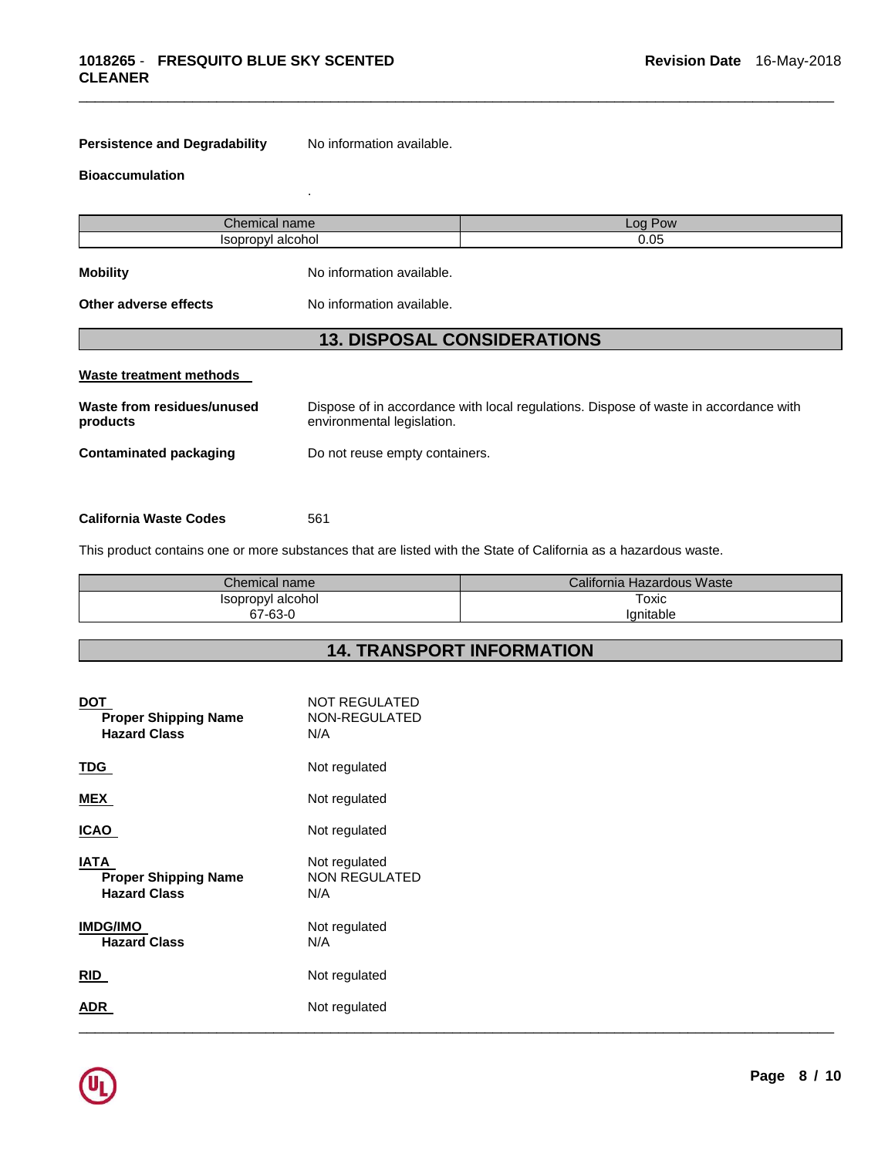**Persistence and Degradability** No information available.

.

#### **Bioaccumulation**

| Chemical name                          |                                                                                                                    | Log Pow |
|----------------------------------------|--------------------------------------------------------------------------------------------------------------------|---------|
| Isopropyl alcohol                      |                                                                                                                    | 0.05    |
| <b>Mobility</b>                        | No information available.                                                                                          |         |
| Other adverse effects                  | No information available.                                                                                          |         |
|                                        | <b>13. DISPOSAL CONSIDERATIONS</b>                                                                                 |         |
| Waste treatment methods                |                                                                                                                    |         |
| Waste from residues/unused<br>products | Dispose of in accordance with local regulations. Dispose of waste in accordance with<br>environmental legislation. |         |
| <b>Contaminated packaging</b>          | Do not reuse empty containers.                                                                                     |         |
|                                        |                                                                                                                    |         |

\_\_\_\_\_\_\_\_\_\_\_\_\_\_\_\_\_\_\_\_\_\_\_\_\_\_\_\_\_\_\_\_\_\_\_\_\_\_\_\_\_\_\_\_\_\_\_\_\_\_\_\_\_\_\_\_\_\_\_\_\_\_\_\_\_\_\_\_\_\_\_\_\_\_\_\_\_\_\_\_\_\_\_\_\_\_\_\_\_\_\_\_\_

#### **California Waste Codes** 561

This product contains one or more substances that are listed with the State of California as a hazardous waste.

| Chemical name     | California Hazardous Waste |
|-------------------|----------------------------|
| Isopropyl alcohol | Toxic                      |
| 67-63-0           | Ianitable                  |

### **14. TRANSPORT INFORMATION**

| <b>DOT</b><br><b>Proper Shipping Name</b><br><b>Hazard Class</b>  | <b>NOT REGULATED</b><br>NON-REGULATED<br>N/A |
|-------------------------------------------------------------------|----------------------------------------------|
| <b>TDG</b>                                                        | Not regulated                                |
| <b>MEX</b>                                                        | Not regulated                                |
| <b>ICAO</b>                                                       | Not regulated                                |
| <b>IATA</b><br><b>Proper Shipping Name</b><br><b>Hazard Class</b> | Not regulated<br>NON REGULATED<br>N/A        |
| <b>IMDG/IMO</b><br><b>Hazard Class</b>                            | Not regulated<br>N/A                         |
| RID                                                               | Not regulated                                |
| <b>ADR</b>                                                        | Not regulated                                |

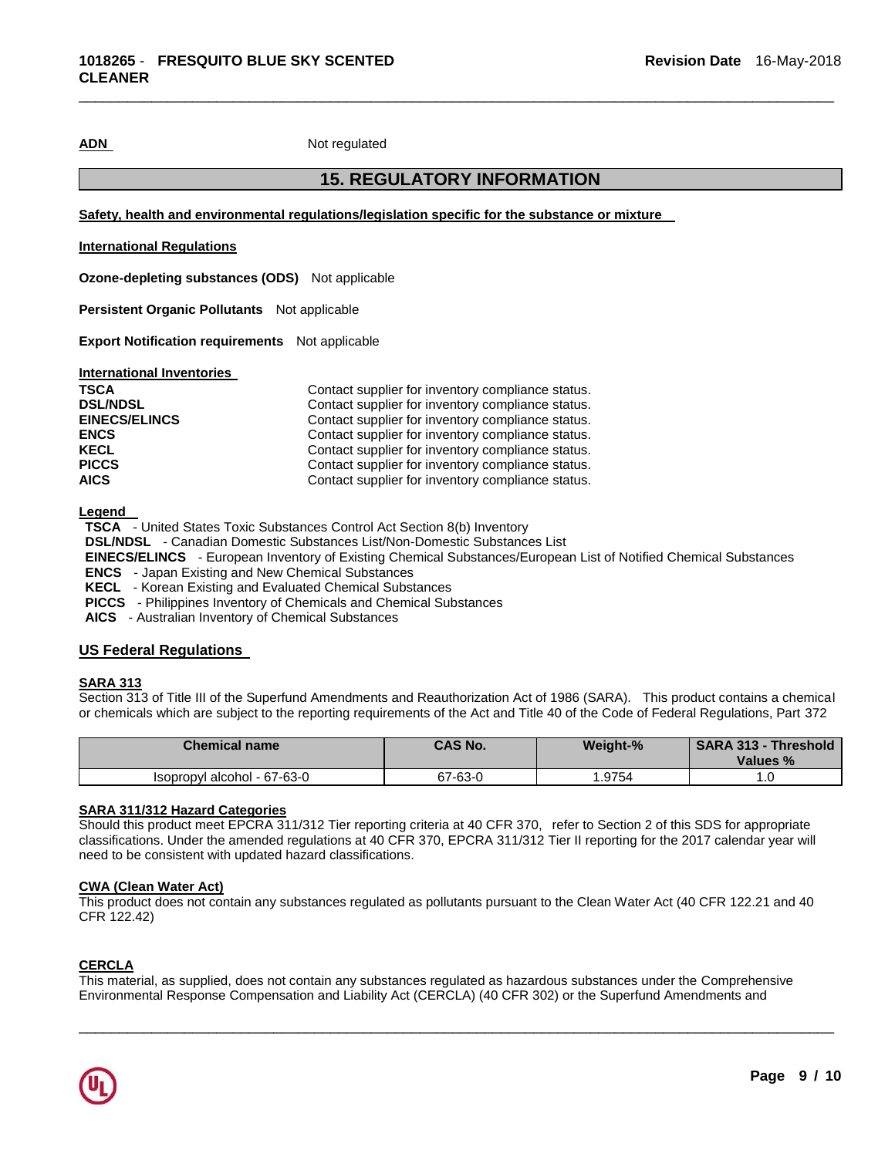ADN Not regulated

#### **15. REGULATORY INFORMATION**

\_\_\_\_\_\_\_\_\_\_\_\_\_\_\_\_\_\_\_\_\_\_\_\_\_\_\_\_\_\_\_\_\_\_\_\_\_\_\_\_\_\_\_\_\_\_\_\_\_\_\_\_\_\_\_\_\_\_\_\_\_\_\_\_\_\_\_\_\_\_\_\_\_\_\_\_\_\_\_\_\_\_\_\_\_\_\_\_\_\_\_\_\_

**Safety, health and environmental regulations/legislation specific for the substance or mixture** 

#### **International Regulations**

**Ozone-depleting substances (ODS)** Not applicable

**Persistent Organic Pollutants** Not applicable

**Export Notification requirements** Not applicable

**International Inventories** 

| <b>TSCA</b>          | Contact supplier for inventory compliance status. |
|----------------------|---------------------------------------------------|
| <b>DSL/NDSL</b>      | Contact supplier for inventory compliance status. |
| <b>EINECS/ELINCS</b> | Contact supplier for inventory compliance status. |
| <b>ENCS</b>          | Contact supplier for inventory compliance status. |
| <b>KECL</b>          | Contact supplier for inventory compliance status. |
| <b>PICCS</b>         | Contact supplier for inventory compliance status. |
| <b>AICS</b>          | Contact supplier for inventory compliance status. |

**Legend** 

**TSCA** - United States Toxic Substances Control Act Section 8(b) Inventory

**DSL/NDSL** - Canadian Domestic Substances List/Non-Domestic Substances List

**EINECS/ELINCS** - European Inventory of Existing Chemical Substances/European List of Notified Chemical Substances

**ENCS** - Japan Existing and New Chemical Substances

**KECL** - Korean Existing and Evaluated Chemical Substances

**PICCS** - Philippines Inventory of Chemicals and Chemical Substances

**AICS** - Australian Inventory of Chemical Substances

#### **US Federal Regulations**

#### **SARA 313**

Section 313 of Title III of the Superfund Amendments and Reauthorization Act of 1986 (SARA). This product contains a chemical or chemicals which are subject to the reporting requirements of the Act and Title 40 of the Code of Federal Regulations, Part 372

| <b>Chemical name</b>        | <b>CAS No.</b> | Weight-% | <b>SARA 313 - Threshold</b><br>Values % |
|-----------------------------|----------------|----------|-----------------------------------------|
| Isopropyl alcohol - 67-63-0 | 67-63-0        | '.9754   | ∣.∪                                     |

#### **SARA 311/312 Hazard Categories**

Should this product meet EPCRA 311/312 Tier reporting criteria at 40 CFR 370, refer to Section 2 of this SDS for appropriate classifications. Under the amended regulations at 40 CFR 370, EPCRA 311/312 Tier II reporting for the 2017 calendar year will need to be consistent with updated hazard classifications.

#### **CWA (Clean Water Act)**

This product does not contain any substances regulated as pollutants pursuant to the Clean Water Act (40 CFR 122.21 and 40 CFR 122.42)

#### **CERCLA**

This material, as supplied, does not contain any substances regulated as hazardous substances under the Comprehensive Environmental Response Compensation and Liability Act (CERCLA) (40 CFR 302) or the Superfund Amendments and